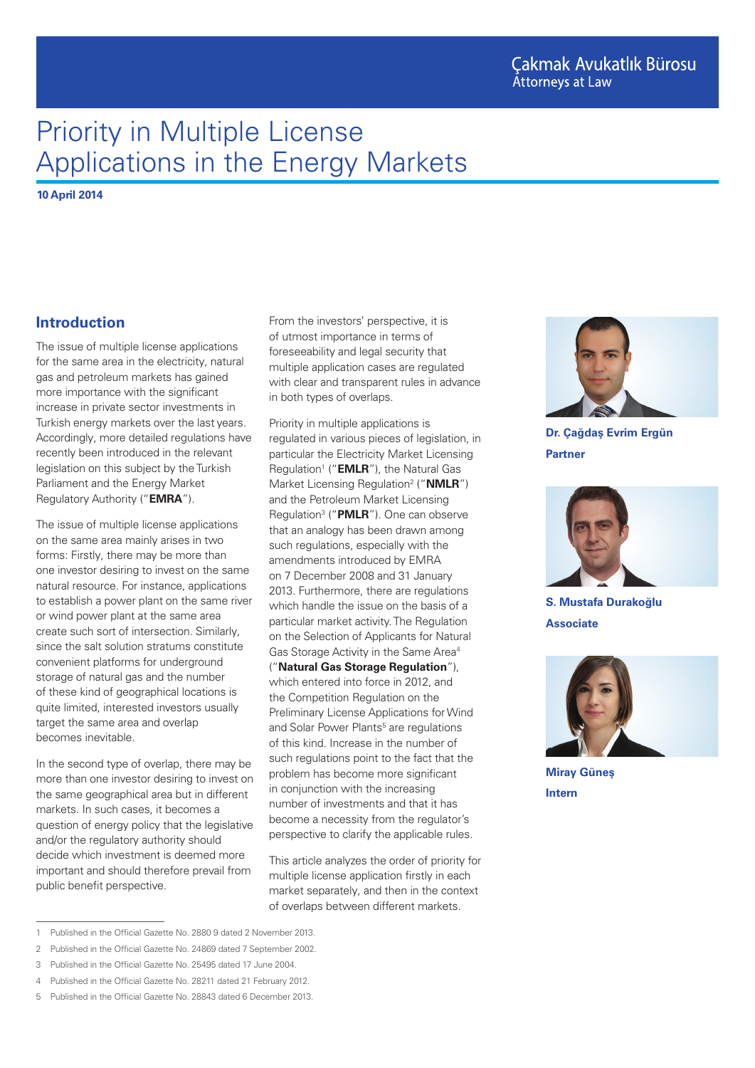# Priority in Multiple License Applications in the Energy Markets

**10 April 2014**

### **Introduction**

The issue of multiple license applications for the same area in the electricity, natural gas and petroleum markets has gained more importance with the significant increase in private sector investments in Turkish energy markets over the last years. Accordingly, more detailed regulations have recently been introduced in the relevant legislation on this subject by the Turkish Parliament and the Energy Market Regulatory Authority ("**EMRA**").

The issue of multiple license applications on the same area mainly arises in two forms: Firstly, there may be more than one investor desiring to invest on the same natural resource. For instance, applications to establish a power plant on the same river or wind power plant at the same area create such sort of intersection. Similarly, since the salt solution stratums constitute convenient platforms for underground storage of natural gas and the number of these kind of geographical locations is quite limited, interested investors usually target the same area and overlap becomes inevitable.

In the second type of overlap, there may be more than one investor desiring to invest on the same geographical area but in different markets. In such cases, it becomes a question of energy policy that the legislative and/or the regulatory authority should decide which investment is deemed more important and should therefore prevail from public benefit perspective.

From the investors' perspective, it is of utmost importance in terms of foreseeability and legal security that multiple application cases are regulated with clear and transparent rules in advance in both types of overlaps.

Priority in multiple applications is regulated in various pieces of legislation, in particular the Electricity Market Licensing Regulation<sup>1</sup> ("**EMLR**"), the Natural Gas Market Licensing Regulation<sup>2</sup> ("**NMLR**") and the Petroleum Market Licensing Regulation3 ("**PMLR**"). One can observe that an analogy has been drawn among such regulations, especially with the amendments introduced by EMRA on 7 December 2008 and 31 January 2013. Furthermore, there are regulations which handle the issue on the basis of a particular market activity. The Regulation on the Selection of Applicants for Natural Gas Storage Activity in the Same Area4 ("**Natural Gas Storage Regulation**"), which entered into force in 2012, and the Competition Regulation on the Preliminary License Applications for Wind and Solar Power Plants<sup>5</sup> are regulations of this kind. Increase in the number of such regulations point to the fact that the problem has become more significant in conjunction with the increasing number of investments and that it has become a necessity from the regulator's perspective to clarify the applicable rules.

This article analyzes the order of priority for multiple license application firstly in each market separately, and then in the context of overlaps between different markets.



**Dr. Çağdaş Evrim Ergün Partner**



**S. Mustafa Durakoğlu Associate**



**Miray Güneş Intern**

<sup>1</sup> Published in the Official Gazette No. 2880 9 dated 2 November 2013.

<sup>2</sup> Published in the Official Gazette No. 24869 dated 7 September 2002.

<sup>3</sup> Published in the Official Gazette No. 25495 dated 17 June 2004.

<sup>4</sup> Published in the Official Gazette No. 28211 dated 21 February 2012.

<sup>5</sup> Published in the Official Gazette No. 28843 dated 6 December 2013.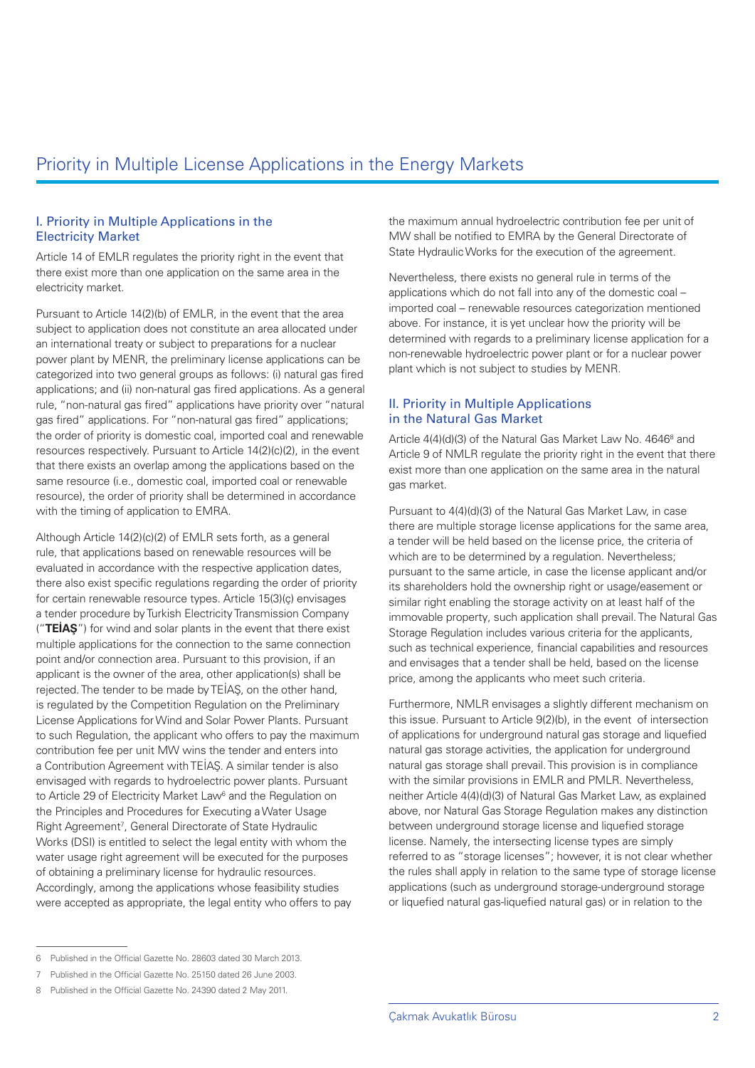### I. Priority in Multiple Applications in the Electricity Market

Article 14 of EMLR regulates the priority right in the event that there exist more than one application on the same area in the electricity market.

Pursuant to Article 14(2)(b) of EMLR, in the event that the area subject to application does not constitute an area allocated under an international treaty or subject to preparations for a nuclear power plant by MENR, the preliminary license applications can be categorized into two general groups as follows: (i) natural gas fired applications; and (ii) non-natural gas fired applications. As a general rule, "non-natural gas fired" applications have priority over "natural gas fired" applications. For "non-natural gas fired" applications; the order of priority is domestic coal, imported coal and renewable resources respectively. Pursuant to Article 14(2)(c)(2), in the event that there exists an overlap among the applications based on the same resource (i.e., domestic coal, imported coal or renewable resource), the order of priority shall be determined in accordance with the timing of application to EMRA.

Although Article 14(2)(c)(2) of EMLR sets forth, as a general rule, that applications based on renewable resources will be evaluated in accordance with the respective application dates, there also exist specific regulations regarding the order of priority for certain renewable resource types. Article 15(3)(ç) envisages a tender procedure by Turkish Electricity Transmission Company ("**TEİAŞ**") for wind and solar plants in the event that there exist multiple applications for the connection to the same connection point and/or connection area. Pursuant to this provision, if an applicant is the owner of the area, other application(s) shall be rejected. The tender to be made by TEİAŞ, on the other hand, is regulated by the Competition Regulation on the Preliminary License Applications for Wind and Solar Power Plants. Pursuant to such Regulation, the applicant who offers to pay the maximum contribution fee per unit MW wins the tender and enters into a Contribution Agreement with TEİAŞ. A similar tender is also envisaged with regards to hydroelectric power plants. Pursuant to Article 29 of Electricity Market Law<sup>6</sup> and the Regulation on the Principles and Procedures for Executing a Water Usage Right Agreement<sup>7</sup>, General Directorate of State Hydraulic Works (DSI) is entitled to select the legal entity with whom the water usage right agreement will be executed for the purposes of obtaining a preliminary license for hydraulic resources. Accordingly, among the applications whose feasibility studies were accepted as appropriate, the legal entity who offers to pay

the maximum annual hydroelectric contribution fee per unit of MW shall be notified to EMRA by the General Directorate of State Hydraulic Works for the execution of the agreement.

Nevertheless, there exists no general rule in terms of the applications which do not fall into any of the domestic coal – imported coal – renewable resources categorization mentioned above. For instance, it is yet unclear how the priority will be determined with regards to a preliminary license application for a non-renewable hydroelectric power plant or for a nuclear power plant which is not subject to studies by MENR.

### II. Priority in Multiple Applications in the Natural Gas Market

Article 4(4)(d)(3) of the Natural Gas Market Law No. 4646<sup>8</sup> and Article 9 of NMLR regulate the priority right in the event that there exist more than one application on the same area in the natural gas market.

Pursuant to 4(4)(d)(3) of the Natural Gas Market Law, in case there are multiple storage license applications for the same area, a tender will be held based on the license price, the criteria of which are to be determined by a regulation. Nevertheless: pursuant to the same article, in case the license applicant and/or its shareholders hold the ownership right or usage/easement or similar right enabling the storage activity on at least half of the immovable property, such application shall prevail. The Natural Gas Storage Regulation includes various criteria for the applicants, such as technical experience, financial capabilities and resources and envisages that a tender shall be held, based on the license price, among the applicants who meet such criteria.

Furthermore, NMLR envisages a slightly different mechanism on this issue. Pursuant to Article 9(2)(b), in the event of intersection of applications for underground natural gas storage and liquefied natural gas storage activities, the application for underground natural gas storage shall prevail. This provision is in compliance with the similar provisions in EMLR and PMLR. Nevertheless, neither Article 4(4)(d)(3) of Natural Gas Market Law, as explained above, nor Natural Gas Storage Regulation makes any distinction between underground storage license and liquefied storage license. Namely, the intersecting license types are simply referred to as "storage licenses"; however, it is not clear whether the rules shall apply in relation to the same type of storage license applications (such as underground storage-underground storage or liquefied natural gas-liquefied natural gas) or in relation to the

<sup>6</sup> Published in the Official Gazette No. 28603 dated 30 March 2013.

<sup>7</sup> Published in the Official Gazette No. 25150 dated 26 June 2003.

<sup>8</sup> Published in the Official Gazette No. 24390 dated 2 May 2011.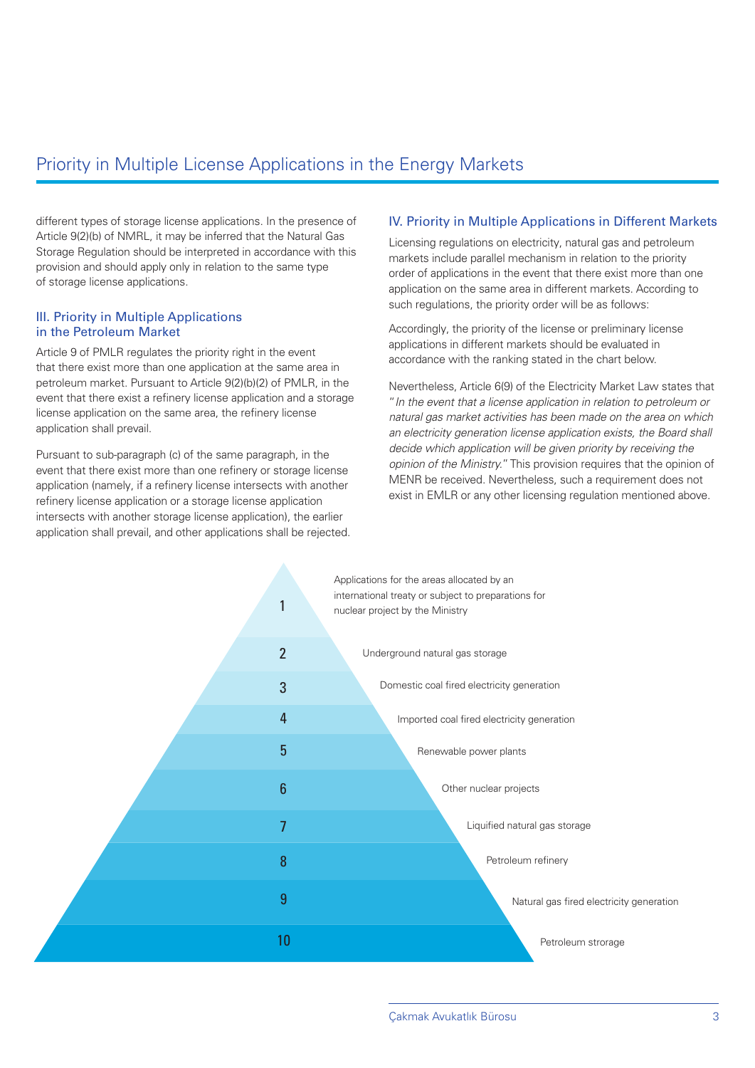# Priority in Multiple License Applications in the Energy Markets

different types of storage license applications. In the presence of Article 9(2)(b) of NMRL, it may be inferred that the Natural Gas Storage Regulation should be interpreted in accordance with this provision and should apply only in relation to the same type of storage license applications.

#### III. Priority in Multiple Applications in the Petroleum Market

Article 9 of PMLR regulates the priority right in the event that there exist more than one application at the same area in petroleum market. Pursuant to Article 9(2)(b)(2) of PMLR, in the event that there exist a refinery license application and a storage license application on the same area, the refinery license application shall prevail.

Pursuant to sub-paragraph (c) of the same paragraph, in the event that there exist more than one refinery or storage license application (namely, if a refinery license intersects with another refinery license application or a storage license application intersects with another storage license application), the earlier application shall prevail, and other applications shall be rejected.

### IV. Priority in Multiple Applications in Different Markets

Licensing regulations on electricity, natural gas and petroleum markets include parallel mechanism in relation to the priority order of applications in the event that there exist more than one application on the same area in different markets. According to such regulations, the priority order will be as follows:

Accordingly, the priority of the license or preliminary license applications in different markets should be evaluated in accordance with the ranking stated in the chart below.

Nevertheless, Article 6(9) of the Electricity Market Law states that "*In the event that a license application in relation to petroleum or natural gas market activities has been made on the area on which an electricity generation license application exists, the Board shall decide which application will be given priority by receiving the opinion of the Ministry.*" This provision requires that the opinion of MENR be received. Nevertheless, such a requirement does not exist in EMLR or any other licensing regulation mentioned above.

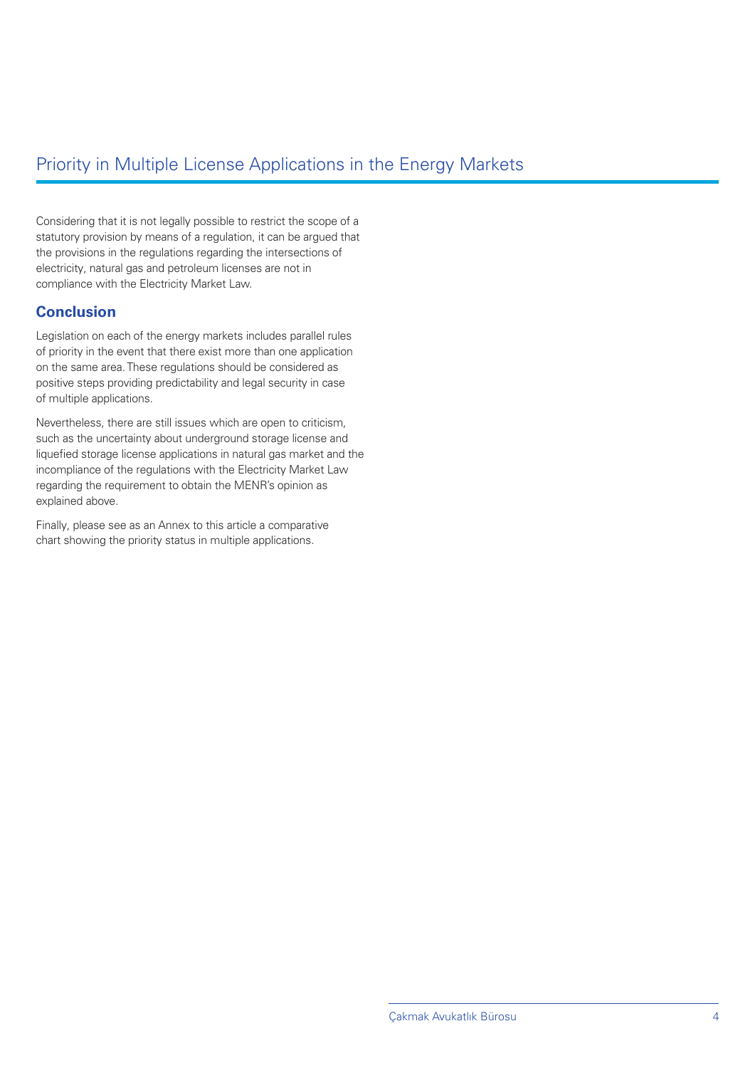## Priority in Multiple License Applications in the Energy Markets

Considering that it is not legally possible to restrict the scope of a statutory provision by means of a regulation, it can be argued that the provisions in the regulations regarding the intersections of electricity, natural gas and petroleum licenses are not in compliance with the Electricity Market Law.

### **Conclusion**

Legislation on each of the energy markets includes parallel rules of priority in the event that there exist more than one application on the same area. These regulations should be considered as positive steps providing predictability and legal security in case of multiple applications.

Nevertheless, there are still issues which are open to criticism, such as the uncertainty about underground storage license and liquefied storage license applications in natural gas market and the incompliance of the regulations with the Electricity Market Law regarding the requirement to obtain the MENR's opinion as explained above.

Finally, please see as an Annex to this article a comparative chart showing the priority status in multiple applications.